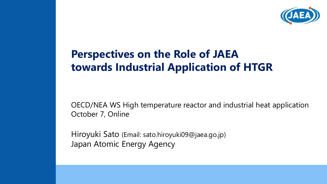

### **Perspectives on the Role of JAEA towards Industrial Application of HTGR**

OECD/NEA WS High temperature reactor and industrial heat application October 7, Online

Hiroyuki Sato (Email: sato.hiroyuki09@jaea.go.jp) Japan Atomic Energy Agency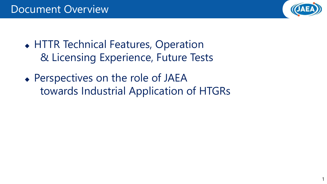

- HTTR Technical Features, Operation & Licensing Experience, Future Tests
- Perspectives on the role of JAEA towards Industrial Application of HTGRs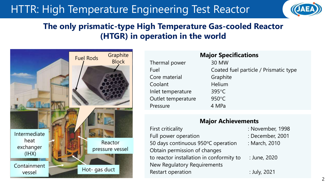### HTTR: High Temperature Engineering Test Reactor



### **The only prismatic-type High Temperature Gas-cooled Reactor (HTGR) in operation in the world**



| <b>Major Specifications</b> |                                       |  |  |  |  |  |
|-----------------------------|---------------------------------------|--|--|--|--|--|
| Thermal power               | 30 MW                                 |  |  |  |  |  |
| Fuel                        | Coated fuel particle / Prismatic type |  |  |  |  |  |
| Core material               | Graphite                              |  |  |  |  |  |
| Coolant                     | Helium                                |  |  |  |  |  |
| Inlet temperature           | $395^{\circ}$ C                       |  |  |  |  |  |
| Outlet temperature          | $950^{\circ}$ C                       |  |  |  |  |  |
| Pressure                    | 4 MPa                                 |  |  |  |  |  |

#### **Major Achievements**

| <b>First criticality</b>                 | : November               |  |  |
|------------------------------------------|--------------------------|--|--|
| Full power operation                     | : December               |  |  |
| 50 days continuous 950°C operation       | : March, 20 <sup>-</sup> |  |  |
| Obtain permission of changes             |                          |  |  |
| to reactor installation in conformity to | : June, 202              |  |  |
| New Regulatory Requirements              |                          |  |  |
| Restart operation                        | : July, 2021             |  |  |

- ovember, 1998
- ecember, 2001
- arch, 2010
- tne, 2020

2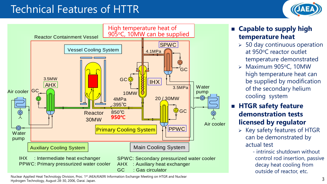### Technical Features of HTTR





Nuclear Applied Heat Technology Division, Proc. 1st JAEA/KAERI Information Exchange Meeting on HTGR and Nuclear Hydrogen Technology, August 28-30, 2006, Oarai. Japan.

- **Capable to supply high temperature heat**
	- $>$  50 day continuous operation at 950°C reactor outlet temperature demonstrated
	- $\triangleright$  Maximum 905°C, 10MW high temperature heat can be supplied by modification of the secondary helium cooling system

### **HTGR safety feature demonstration tests licensed by regulator**

- $\triangleright$  Key safety features of HTGR can be demonstrated by actual test
	- intrinsic shutdown without control rod insertion, passive decay heat cooling from outside of reactor, etc.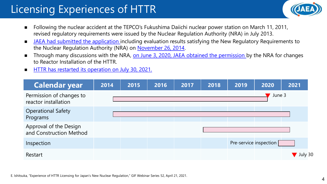# Licensing Experiences of HTTR



- Following the nuclear accident at the TEPCO's Fukushima Daiichi nuclear power station on March 11, 2011, revised regulatory requirements were issued by the Nuclear Regulation Authority (NRA) in July 2013.
- **IFM** JAEA had submitted the application including evaluation results satisfying the New Regulatory Requirements to the Nuclear Regulation Authority (NRA) on November 26, 2014.
- Through many discussions with the NRA, on June 3, 2020, JAEA obtained the permission by the NRA for changes to Reactor Installation of the HTTR.
- **HTTR has restarted its operation on July 30, 2021.**

| <b>Calendar year</b>                              | 2014 | 2015 | 2016 | 2017 | 2018 | 2019 | 2020                   | 2021    |
|---------------------------------------------------|------|------|------|------|------|------|------------------------|---------|
| Permission of changes to<br>reactor installation  |      |      |      |      |      |      | June 3                 |         |
| <b>Operational Safety</b><br>Programs             |      |      |      |      |      |      |                        |         |
| Approval of the Design<br>and Construction Method |      |      |      |      |      |      |                        |         |
| Inspection                                        |      |      |      |      |      |      | Pre-service inspection |         |
| Restart                                           |      |      |      |      |      |      |                        | July 30 |

E. Ishitsuka, "Experience of HTTR Licensing for Japan's New Nuclear Regulation," GIF Webinar Series 52, April 21, 2021.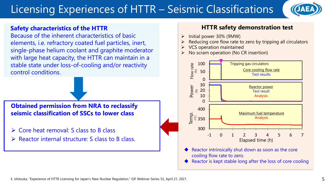# Licensing Experiences of HTTR – Seismic Classifications



#### -<br>C **Safety characteristics of the HTTR**

Because of the inherent characteristics of basic elements, i.e. refractory coated fuel particles, inert, single-phase helium coolant and graphite moderator with large heat capacity, the HTTR can maintain in a stable state under loss-of-cooling and/or reactivity control conditions.

**Obtained permission from NRA to reclassify seismic classification of SSCs to lower class**

- Core heat removal: S class to B class
- $\triangleright$  Reactor internal structure: S class to B class.

#### **HTTR safety demonstration test**

- $\triangleright$  Initial power 30% (9MW)
- Reducing core flow rate to zero by tripping all circulators
- VCS operation maintained
- No scram operation (No CR insertion)



- Reactor intrinsically shut down as soon as the core cooling flow rate to zero.
-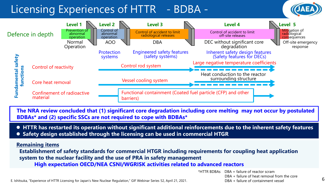### Licensing Experiences of HTTR - BDBA -





**The NRA review concluded that (1) significant core degradation including core melting may not occur by postulated BDBAs\* and (2) specific SSCs are not required to cope with BDBAs\***

- **HTTR has restarted its operation without significant additional reinforcements due to the inherent safety features**
- **Safety design established through the licensing can be used in commercial HTGR**

#### **Remaining items**

**Establishment of safety standards for commercial HTGR including requirements for coupling heat application system to the nuclear facility and the use of PRA in safety management** 

**High expectation OECD/NEA CSNI/WGRISK activities related to advanced reactors** 

\*HTTR BDBAs DBA + failure of reactor scram

E. Ishitsuka, "Experience of HTTR Licensing for Japan's New Nuclear Regulation," GIF Webinar Series 52, April 21, 2021. CODENTIFY Annual Containment vessel

DBA + failure of heat removal from the core DBA + failure of containment vessel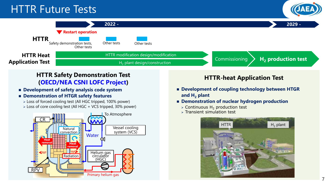### HTTR Future Tests





#### **HTTR-heat Application Test HTTR Safety Demonstration Test (OECD/NEA CSNI LOFC Project)**

- **Development of safety analysis code system**
- **Demonstration of HTGR safety features**
	- Loss of forced cooling test (All HGC tripped, 100% power)
	- Loss of core cooling test (All HGC + VCS tripped, 30% power)



- **Development of coupling technology between HTGR and H<sup>2</sup> plant**
- **Demonstration of nuclear hydrogen production**
	- $\triangleright$  Continuous H<sub>2</sub> production test
	- $\triangleright$  Transient simulation test

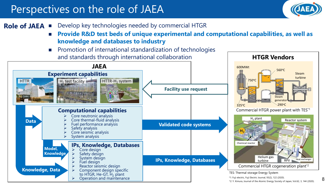### Perspectives on the role of JAEA



#### Develop key technologies needed by commercial HTGR **Role of JAEA**

- Provide R&D test beds of unique experimental and computational capabilities, as well as **knowledge and databases to industry**
- **Promotion of international standardization of technologies** and standards through international collaboration